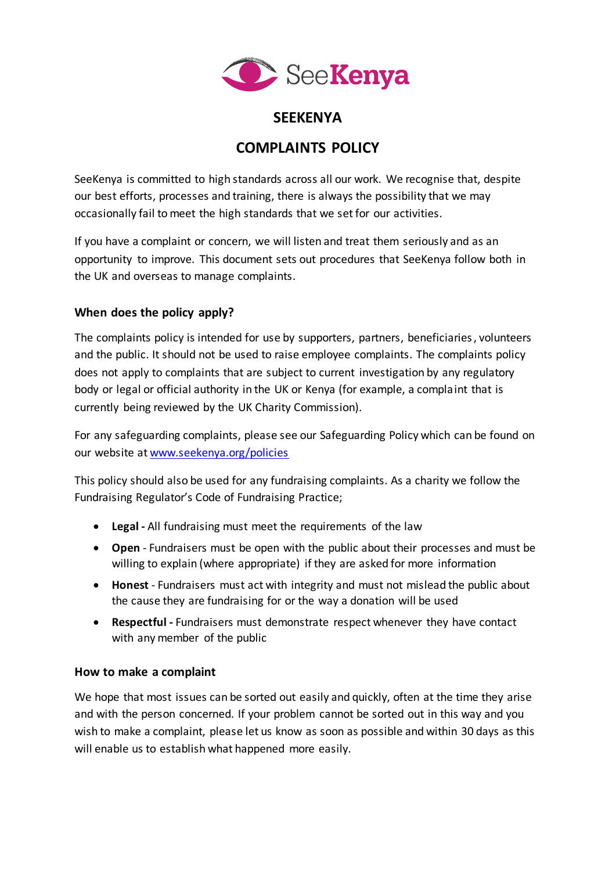

# **SEEKENYA**

# **COMPLAINTS POLICY**

SeeKenya is committed to high standards across all our work. We recognise that, despite our best efforts, processes and training, there is always the possibility that we may occasionally fail to meet the high standards that we set for our activities.

If you have a complaint or concern, we will listen and treat them seriously and as an opportunity to improve. This document sets out procedures that SeeKenya follow both in the UK and overseas to manage complaints.

# **When does the policy apply?**

The complaints policy is intended for use by supporters, partners, beneficiaries, volunteers and the public. It should not be used to raise employee complaints. The complaints policy does not apply to complaints that are subject to current investigation by any regulatory body or legal or official authority in the UK or Kenya (for example, a complaint that is currently being reviewed by the UK Charity Commission).

For any safeguarding complaints, please see our Safeguarding Policy which can be found on our website at [www.seekenya.org/policies](http://www.seekenya.org/policies)

This policy should also be used for any fundraising complaints. As a charity we follow the Fundraising Regulator's Code of Fundraising Practice;

- **Legal -** All fundraising must meet the requirements of the law
- **Open** Fundraisers must be open with the public about their processes and must be willing to explain (where appropriate) if they are asked for more information
- **Honest** Fundraisers must act with integrity and must not mislead the public about the cause they are fundraising for or the way a donation will be used
- **Respectful -** Fundraisers must demonstrate respect whenever they have contact with any member of the public

# **How to make a complaint**

We hope that most issues can be sorted out easily and quickly, often at the time they arise and with the person concerned. If your problem cannot be sorted out in this way and you wish to make a complaint, please let us know as soon as possible and within 30 days as this will enable us to establish what happened more easily.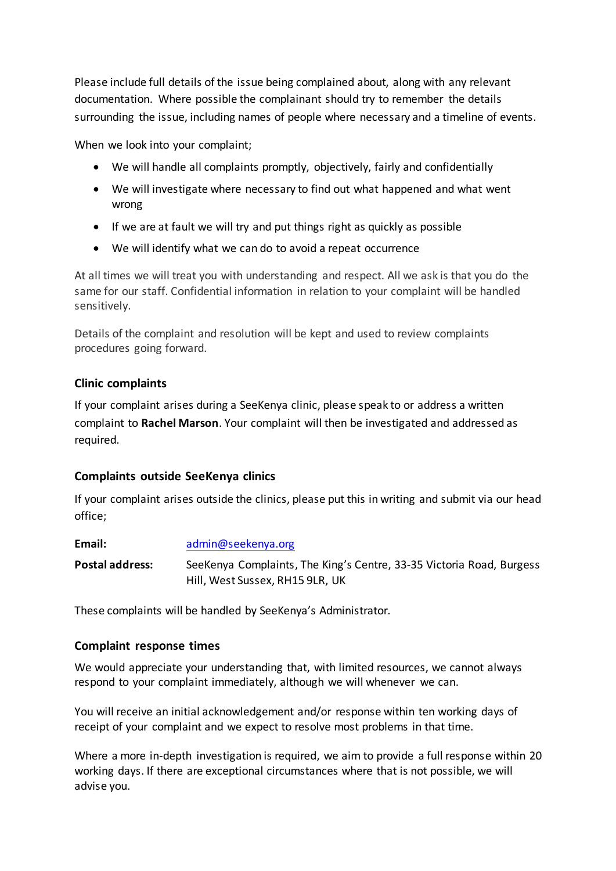Please include full details of the issue being complained about, along with any relevant documentation. Where possible the complainant should try to remember the details surrounding the issue, including names of people where necessary and a timeline of events.

When we look into your complaint;

- We will handle all complaints promptly, objectively, fairly and confidentially
- We will investigate where necessary to find out what happened and what went wrong
- If we are at fault we will try and put things right as quickly as possible
- We will identify what we can do to avoid a repeat occurrence

At all times we will treat you with understanding and respect. All we ask is that you do the same for our staff. Confidential information in relation to your complaint will be handled sensitively.

Details of the complaint and resolution will be kept and used to review complaints procedures going forward.

#### **Clinic complaints**

If your complaint arises during a SeeKenya clinic, please speak to or address a written complaint to **Rachel Marson**. Your complaint will then be investigated and addressed as required.

# **Complaints outside SeeKenya clinics**

If your complaint arises outside the clinics, please put this in writing and submit via our head office;

| Email:          | admin@seekenya.org                                                                                      |
|-----------------|---------------------------------------------------------------------------------------------------------|
| Postal address: | SeeKenya Complaints, The King's Centre, 33-35 Victoria Road, Burgess<br>Hill, West Sussex, RH15 9LR, UK |

These complaints will be handled by SeeKenya's Administrator.

# **Complaint response times**

We would appreciate your understanding that, with limited resources, we cannot always respond to your complaint immediately, although we will whenever we can.

You will receive an initial acknowledgement and/or response within ten working days of receipt of your complaint and we expect to resolve most problems in that time.

Where a more in-depth investigation is required, we aim to provide a full response within 20 working days. If there are exceptional circumstances where that is not possible, we will advise you.